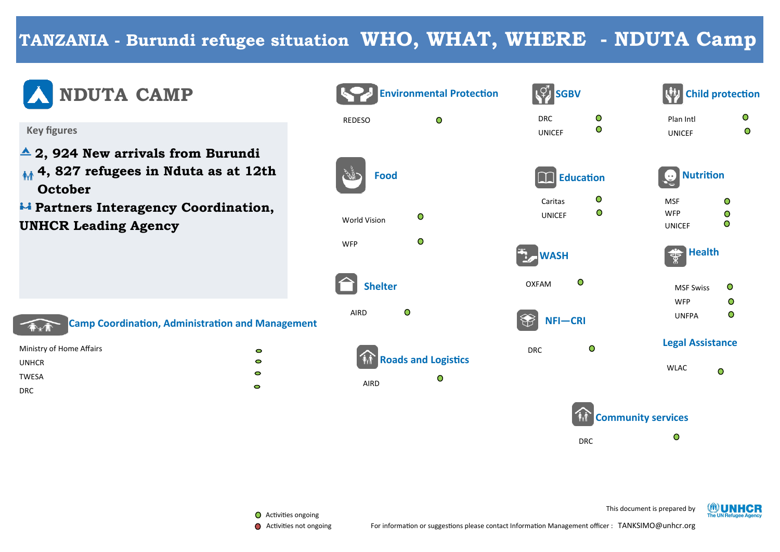# **TANZANIA - Burundi refugee situation WHO, WHAT, WHERE - NDUTA Camp**

 **Food**

AIRD

REDESO

**NDUTA CAMP**

#### **Key figures**

- **2, 924 New arrivals from Burundi**
- **4, 827 refugees in Nduta as at 12th October**

*M* Partners Interagency Coordination, **UNHCR Leading Agency**

**Camp Coordination, Administration and Management**

| Ministry of Home Affairs | o |
|--------------------------|---|
| <b>UNHCR</b>             | o |
| TWESA                    | o |
| <b>DRC</b>               | c |

| <b>World Vision</b>        | ۰ |  |  |  |  |
|----------------------------|---|--|--|--|--|
| <b>WFP</b>                 | ∩ |  |  |  |  |
| <b>Shelter</b>             |   |  |  |  |  |
| <b>AIRD</b>                | Ω |  |  |  |  |
| <b>Roads and Logistics</b> |   |  |  |  |  |
|                            |   |  |  |  |  |

| <b>Environmental Protection</b>         | <b>SGBV</b>                  |                | <b>Child protection</b>    |              |  |
|-----------------------------------------|------------------------------|----------------|----------------------------|--------------|--|
| $\bullet$                               | <b>DRC</b><br><b>UNICEF</b>  | O<br>$\bullet$ | Plan Intl<br><b>UNICEF</b> | O<br>$\circ$ |  |
| ood                                     | <b>Education</b>             |                | <b>Nutrition</b>           |              |  |
|                                         | Caritas                      | O              | <b>MSF</b>                 | O            |  |
| $\bullet$<br>'n                         | <b>UNICEF</b>                | $\bullet$      | <b>WFP</b>                 | O            |  |
|                                         |                              |                | <b>UNICEF</b>              | O            |  |
| O                                       | <b>WASH</b>                  |                | <b>Health</b><br>ङ्क       |              |  |
| <b>Iter</b>                             | O<br><b>OXFAM</b>            |                | <b>MSF Swiss</b>           | O            |  |
|                                         |                              |                | <b>WFP</b>                 | $\circ$      |  |
| $\bullet$                               | NFI-CRI                      |                | <b>UNFPA</b>               | O            |  |
|                                         | $\overline{O}$<br><b>DRC</b> |                | <b>Legal Assistance</b>    |              |  |
| <b>Roads and Logistics</b><br>$\bullet$ |                              |                | <b>WLAC</b>                | $\circ$      |  |
|                                         |                              |                |                            |              |  |



This document is prepared by

WUNHCR

**O** Activities ongoing

**Activities not ongoing** 

For information or suggestions please contact Information Management officer : TANKSIMO@unhcr.org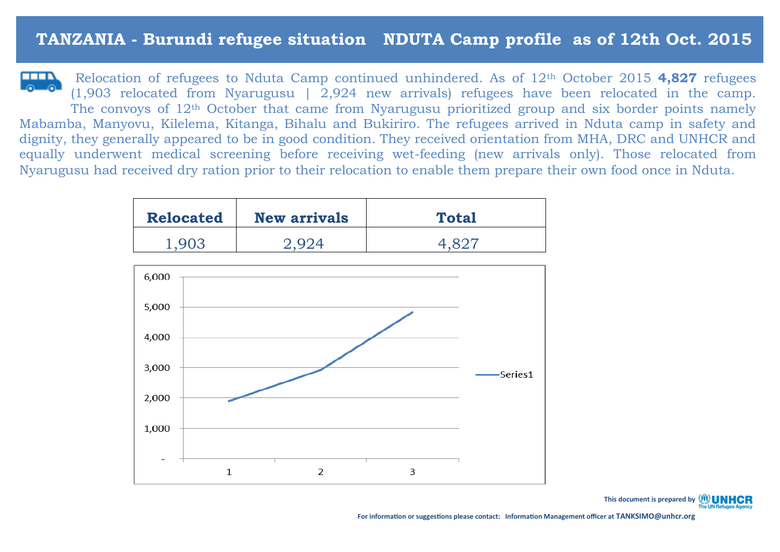### **TANZANIA - Burundi refugee situation NDUTA Camp profile as of 12th Oct. 2015**

Relocation of refugees to Nduta Camp continued unhindered. As of 12th October 2015 **4,827** refugees (1,903 relocated from Nyarugusu | 2,924 new arrivals) refugees have been relocated in the camp. The convoys of 12th October that came from Nyarugusu prioritized group and six border points namely Mabamba, Manyovu, Kilelema, Kitanga, Bihalu and Bukiriro. The refugees arrived in Nduta camp in safety and dignity, they generally appeared to be in good condition. They received orientation from MHA, DRC and UNHCR and equally underwent medical screening before receiving wet-feeding (new arrivals only). Those relocated from Nyarugusu had received dry ration prior to their relocation to enable them prepare their own food once in Nduta.

| <b>Relocated</b> | <b>New arrivals</b> | <b>Total</b> |  |
|------------------|---------------------|--------------|--|
|                  |                     |              |  |

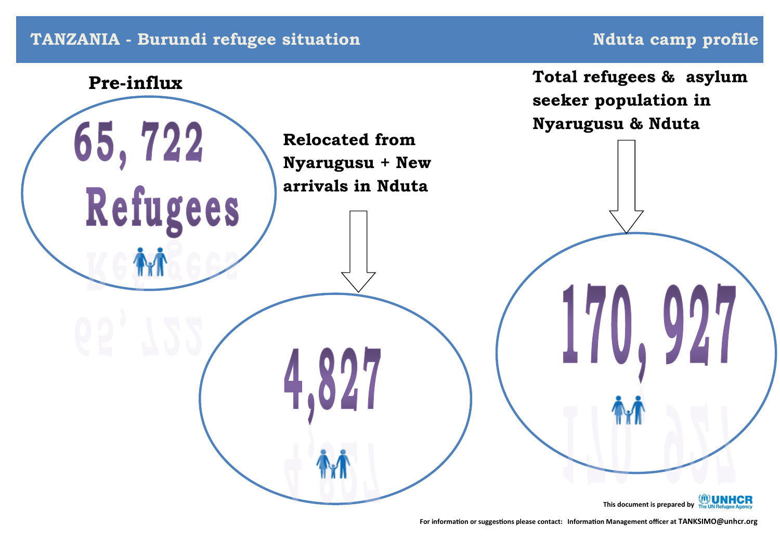## **TANZANIA - Burundi refugee situation Nduta camp profile Nduta camp profile**